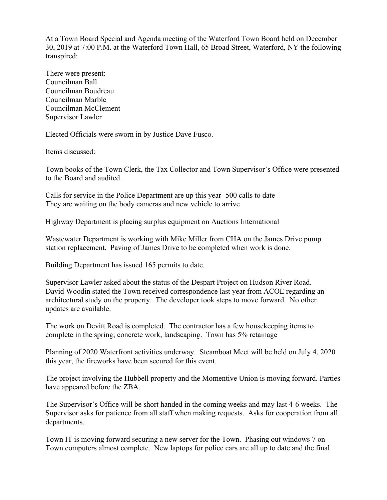At a Town Board Special and Agenda meeting of the Waterford Town Board held on December 30, 2019 at 7:00 P.M. at the Waterford Town Hall, 65 Broad Street, Waterford, NY the following transpired:

There were present: Councilman Ball Councilman Boudreau Councilman Marble Councilman McClement Supervisor Lawler

Elected Officials were sworn in by Justice Dave Fusco.

Items discussed:

Town books of the Town Clerk, the Tax Collector and Town Supervisor's Office were presented to the Board and audited.

Calls for service in the Police Department are up this year- 500 calls to date They are waiting on the body cameras and new vehicle to arrive

Highway Department is placing surplus equipment on Auctions International

Wastewater Department is working with Mike Miller from CHA on the James Drive pump station replacement. Paving of James Drive to be completed when work is done.

Building Department has issued 165 permits to date.

Supervisor Lawler asked about the status of the Despart Project on Hudson River Road. David Woodin stated the Town received correspondence last year from ACOE regarding an architectural study on the property. The developer took steps to move forward. No other updates are available.

The work on Devitt Road is completed. The contractor has a few housekeeping items to complete in the spring; concrete work, landscaping. Town has 5% retainage

Planning of 2020 Waterfront activities underway. Steamboat Meet will be held on July 4, 2020 this year, the fireworks have been secured for this event.

The project involving the Hubbell property and the Momentive Union is moving forward. Parties have appeared before the ZBA.

The Supervisor's Office will be short handed in the coming weeks and may last 4-6 weeks. The Supervisor asks for patience from all staff when making requests. Asks for cooperation from all departments.

Town IT is moving forward securing a new server for the Town. Phasing out windows 7 on Town computers almost complete. New laptops for police cars are all up to date and the final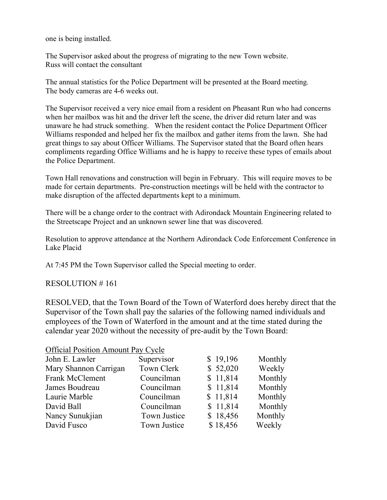one is being installed.

The Supervisor asked about the progress of migrating to the new Town website. Russ will contact the consultant

The annual statistics for the Police Department will be presented at the Board meeting. The body cameras are 4-6 weeks out.

The Supervisor received a very nice email from a resident on Pheasant Run who had concerns when her mailbox was hit and the driver left the scene, the driver did return later and was unaware he had struck something. When the resident contact the Police Department Officer Williams responded and helped her fix the mailbox and gather items from the lawn. She had great things to say about Officer Williams. The Supervisor stated that the Board often hears compliments regarding Office Williams and he is happy to receive these types of emails about the Police Department.

Town Hall renovations and construction will begin in February. This will require moves to be made for certain departments. Pre-construction meetings will be held with the contractor to make disruption of the affected departments kept to a minimum.

There will be a change order to the contract with Adirondack Mountain Engineering related to the Streetscape Project and an unknown sewer line that was discovered.

Resolution to approve attendance at the Northern Adirondack Code Enforcement Conference in Lake Placid

At 7:45 PM the Town Supervisor called the Special meeting to order.

RESOLUTION # 161

RESOLVED, that the Town Board of the Town of Waterford does hereby direct that the Supervisor of the Town shall pay the salaries of the following named individuals and employees of the Town of Waterford in the amount and at the time stated during the calendar year 2020 without the necessity of pre-audit by the Town Board:

| <b>Official Position Amount Pay Cycle</b> |                   |          |         |
|-------------------------------------------|-------------------|----------|---------|
| John E. Lawler                            | Supervisor        | \$19,196 | Monthly |
| Mary Shannon Carrigan                     | <b>Town Clerk</b> | \$52,020 | Weekly  |
| <b>Frank McClement</b>                    | Councilman        | \$11,814 | Monthly |
| James Boudreau                            | Councilman        | \$11,814 | Monthly |
| Laurie Marble                             | Councilman        | \$11,814 | Monthly |
| David Ball                                | Councilman        | \$11,814 | Monthly |
| Nancy Sunukjian                           | Town Justice      | \$18,456 | Monthly |
| David Fusco                               | Town Justice      | \$18,456 | Weekly  |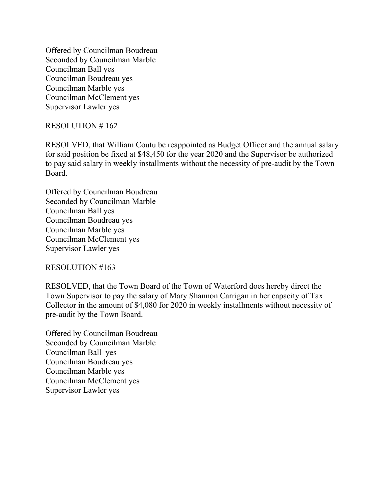Offered by Councilman Boudreau Seconded by Councilman Marble Councilman Ball yes Councilman Boudreau yes Councilman Marble yes Councilman McClement yes Supervisor Lawler yes

# RESOLUTION # 162

RESOLVED, that William Coutu be reappointed as Budget Officer and the annual salary for said position be fixed at \$48,450 for the year 2020 and the Supervisor be authorized to pay said salary in weekly installments without the necessity of pre-audit by the Town Board.

Offered by Councilman Boudreau Seconded by Councilman Marble Councilman Ball yes Councilman Boudreau yes Councilman Marble yes Councilman McClement yes Supervisor Lawler yes

## RESOLUTION #163

RESOLVED, that the Town Board of the Town of Waterford does hereby direct the Town Supervisor to pay the salary of Mary Shannon Carrigan in her capacity of Tax Collector in the amount of \$4,080 for 2020 in weekly installments without necessity of pre-audit by the Town Board.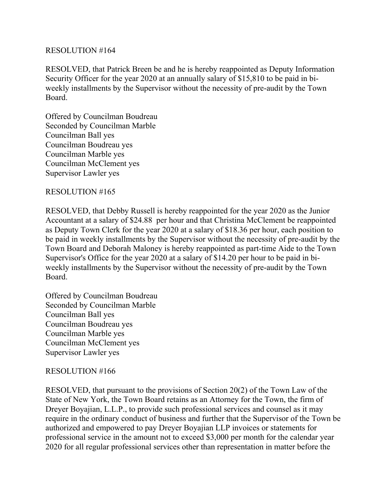RESOLVED, that Patrick Breen be and he is hereby reappointed as Deputy Information Security Officer for the year 2020 at an annually salary of \$15,810 to be paid in biweekly installments by the Supervisor without the necessity of pre-audit by the Town Board.

Offered by Councilman Boudreau Seconded by Councilman Marble Councilman Ball yes Councilman Boudreau yes Councilman Marble yes Councilman McClement yes Supervisor Lawler yes

## RESOLUTION #165

RESOLVED, that Debby Russell is hereby reappointed for the year 2020 as the Junior Accountant at a salary of \$24.88 per hour and that Christina McClement be reappointed as Deputy Town Clerk for the year 2020 at a salary of \$18.36 per hour, each position to be paid in weekly installments by the Supervisor without the necessity of pre-audit by the Town Board and Deborah Maloney is hereby reappointed as part-time Aide to the Town Supervisor's Office for the year 2020 at a salary of \$14.20 per hour to be paid in biweekly installments by the Supervisor without the necessity of pre-audit by the Town Board.

Offered by Councilman Boudreau Seconded by Councilman Marble Councilman Ball yes Councilman Boudreau yes Councilman Marble yes Councilman McClement yes Supervisor Lawler yes

## RESOLUTION #166

RESOLVED, that pursuant to the provisions of Section 20(2) of the Town Law of the State of New York, the Town Board retains as an Attorney for the Town, the firm of Dreyer Boyajian, L.L.P., to provide such professional services and counsel as it may require in the ordinary conduct of business and further that the Supervisor of the Town be authorized and empowered to pay Dreyer Boyajian LLP invoices or statements for professional service in the amount not to exceed \$3,000 per month for the calendar year 2020 for all regular professional services other than representation in matter before the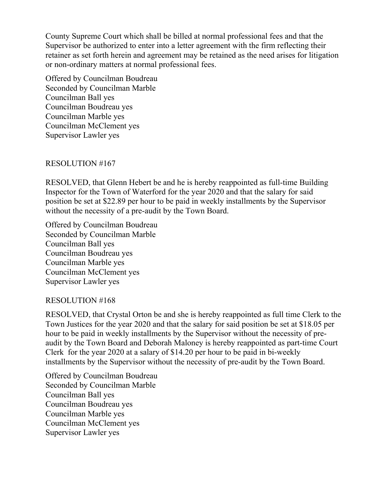County Supreme Court which shall be billed at normal professional fees and that the Supervisor be authorized to enter into a letter agreement with the firm reflecting their retainer as set forth herein and agreement may be retained as the need arises for litigation or non-ordinary matters at normal professional fees.

Offered by Councilman Boudreau Seconded by Councilman Marble Councilman Ball yes Councilman Boudreau yes Councilman Marble yes Councilman McClement yes Supervisor Lawler yes

## RESOLUTION #167

RESOLVED, that Glenn Hebert be and he is hereby reappointed as full-time Building Inspector for the Town of Waterford for the year 2020 and that the salary for said position be set at \$22.89 per hour to be paid in weekly installments by the Supervisor without the necessity of a pre-audit by the Town Board.

Offered by Councilman Boudreau Seconded by Councilman Marble Councilman Ball yes Councilman Boudreau yes Councilman Marble yes Councilman McClement yes Supervisor Lawler yes

## RESOLUTION #168

RESOLVED, that Crystal Orton be and she is hereby reappointed as full time Clerk to the Town Justices for the year 2020 and that the salary for said position be set at \$18.05 per hour to be paid in weekly installments by the Supervisor without the necessity of preaudit by the Town Board and Deborah Maloney is hereby reappointed as part-time Court Clerk for the year 2020 at a salary of \$14.20 per hour to be paid in bi-weekly installments by the Supervisor without the necessity of pre-audit by the Town Board.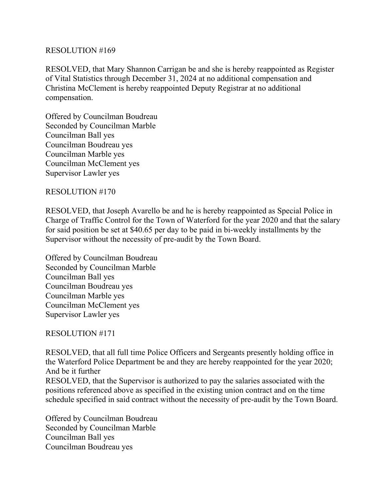RESOLVED, that Mary Shannon Carrigan be and she is hereby reappointed as Register of Vital Statistics through December 31, 2024 at no additional compensation and Christina McClement is hereby reappointed Deputy Registrar at no additional compensation.

Offered by Councilman Boudreau Seconded by Councilman Marble Councilman Ball yes Councilman Boudreau yes Councilman Marble yes Councilman McClement yes Supervisor Lawler yes

# RESOLUTION #170

RESOLVED, that Joseph Avarello be and he is hereby reappointed as Special Police in Charge of Traffic Control for the Town of Waterford for the year 2020 and that the salary for said position be set at \$40.65 per day to be paid in bi-weekly installments by the Supervisor without the necessity of pre-audit by the Town Board.

Offered by Councilman Boudreau Seconded by Councilman Marble Councilman Ball yes Councilman Boudreau yes Councilman Marble yes Councilman McClement yes Supervisor Lawler yes

# RESOLUTION #171

RESOLVED, that all full time Police Officers and Sergeants presently holding office in the Waterford Police Department be and they are hereby reappointed for the year 2020; And be it further RESOLVED, that the Supervisor is authorized to pay the salaries associated with the

positions referenced above as specified in the existing union contract and on the time schedule specified in said contract without the necessity of pre-audit by the Town Board.

Offered by Councilman Boudreau Seconded by Councilman Marble Councilman Ball yes Councilman Boudreau yes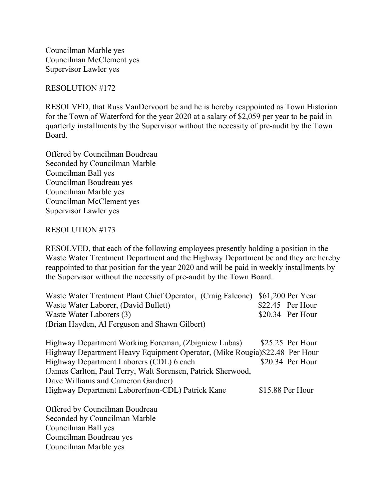Councilman Marble yes Councilman McClement yes Supervisor Lawler yes

## RESOLUTION #172

RESOLVED, that Russ VanDervoort be and he is hereby reappointed as Town Historian for the Town of Waterford for the year 2020 at a salary of \$2,059 per year to be paid in quarterly installments by the Supervisor without the necessity of pre-audit by the Town Board.

Offered by Councilman Boudreau Seconded by Councilman Marble Councilman Ball yes Councilman Boudreau yes Councilman Marble yes Councilman McClement yes Supervisor Lawler yes

## RESOLUTION #173

RESOLVED, that each of the following employees presently holding a position in the Waste Water Treatment Department and the Highway Department be and they are hereby reappointed to that position for the year 2020 and will be paid in weekly installments by the Supervisor without the necessity of pre-audit by the Town Board.

| Waste Water Treatment Plant Chief Operator, (Craig Falcone) \$61,200 Per Year |                   |
|-------------------------------------------------------------------------------|-------------------|
| Waste Water Laborer, (David Bullett)                                          | $$22.45$ Per Hour |
| Waste Water Laborers (3)                                                      | $$20.34$ Per Hour |
| (Brian Hayden, Al Ferguson and Shawn Gilbert)                                 |                   |
| Highway Department Working Foreman, (Zbigniew Lubas)                          | $$25.25$ Per Hour |
| Highway Department Heavy Faugment Operator (Mike Rougia) \$22.48 Per Hour     |                   |

Highway Department Heavy Equipment Operator, (Mike Rougia)\$22.48 Per Hour Highway Department Laborers (CDL) 6 each \$20.34 Per Hour (James Carlton, Paul Terry, Walt Sorensen, Patrick Sherwood, Dave Williams and Cameron Gardner) Highway Department Laborer(non-CDL) Patrick Kane \$15.88 Per Hour

Offered by Councilman Boudreau Seconded by Councilman Marble Councilman Ball yes Councilman Boudreau yes Councilman Marble yes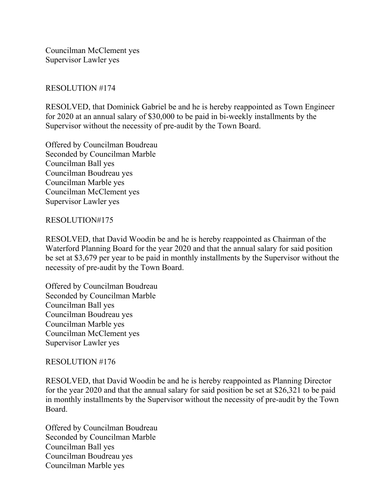Councilman McClement yes Supervisor Lawler yes

# RESOLUTION #174

RESOLVED, that Dominick Gabriel be and he is hereby reappointed as Town Engineer for 2020 at an annual salary of \$30,000 to be paid in bi-weekly installments by the Supervisor without the necessity of pre-audit by the Town Board.

Offered by Councilman Boudreau Seconded by Councilman Marble Councilman Ball yes Councilman Boudreau yes Councilman Marble yes Councilman McClement yes Supervisor Lawler yes

## RESOLUTION#175

RESOLVED, that David Woodin be and he is hereby reappointed as Chairman of the Waterford Planning Board for the year 2020 and that the annual salary for said position be set at \$3,679 per year to be paid in monthly installments by the Supervisor without the necessity of pre-audit by the Town Board.

Offered by Councilman Boudreau Seconded by Councilman Marble Councilman Ball yes Councilman Boudreau yes Councilman Marble yes Councilman McClement yes Supervisor Lawler yes

## RESOLUTION #176

RESOLVED, that David Woodin be and he is hereby reappointed as Planning Director for the year 2020 and that the annual salary for said position be set at \$26,321 to be paid in monthly installments by the Supervisor without the necessity of pre-audit by the Town Board.

Offered by Councilman Boudreau Seconded by Councilman Marble Councilman Ball yes Councilman Boudreau yes Councilman Marble yes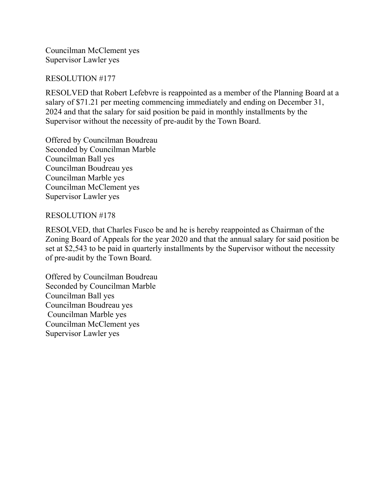Councilman McClement yes Supervisor Lawler yes

## RESOLUTION #177

RESOLVED that Robert Lefebvre is reappointed as a member of the Planning Board at a salary of \$71.21 per meeting commencing immediately and ending on December 31, 2024 and that the salary for said position be paid in monthly installments by the Supervisor without the necessity of pre-audit by the Town Board.

Offered by Councilman Boudreau Seconded by Councilman Marble Councilman Ball yes Councilman Boudreau yes Councilman Marble yes Councilman McClement yes Supervisor Lawler yes

## RESOLUTION #178

RESOLVED, that Charles Fusco be and he is hereby reappointed as Chairman of the Zoning Board of Appeals for the year 2020 and that the annual salary for said position be set at \$2,543 to be paid in quarterly installments by the Supervisor without the necessity of pre-audit by the Town Board.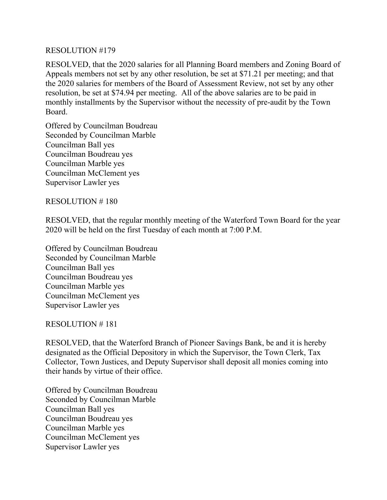RESOLVED, that the 2020 salaries for all Planning Board members and Zoning Board of Appeals members not set by any other resolution, be set at \$71.21 per meeting; and that the 2020 salaries for members of the Board of Assessment Review, not set by any other resolution, be set at \$74.94 per meeting. All of the above salaries are to be paid in monthly installments by the Supervisor without the necessity of pre-audit by the Town Board.

Offered by Councilman Boudreau Seconded by Councilman Marble Councilman Ball yes Councilman Boudreau yes Councilman Marble yes Councilman McClement yes Supervisor Lawler yes

RESOLUTION # 180

RESOLVED, that the regular monthly meeting of the Waterford Town Board for the year 2020 will be held on the first Tuesday of each month at 7:00 P.M.

Offered by Councilman Boudreau Seconded by Councilman Marble Councilman Ball yes Councilman Boudreau yes Councilman Marble yes Councilman McClement yes Supervisor Lawler yes

## RESOLUTION # 181

RESOLVED, that the Waterford Branch of Pioneer Savings Bank, be and it is hereby designated as the Official Depository in which the Supervisor, the Town Clerk, Tax Collector, Town Justices, and Deputy Supervisor shall deposit all monies coming into their hands by virtue of their office.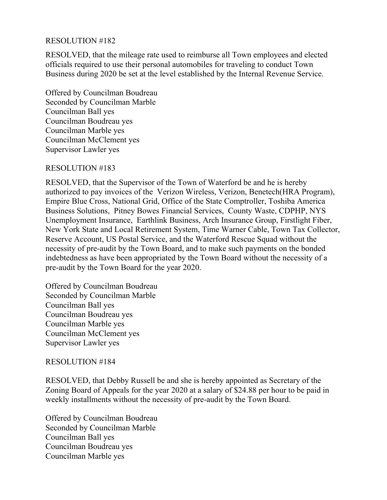RESOLVED, that the mileage rate used to reimburse all Town employees and elected officials required to use their personal automobiles for traveling to conduct Town Business during 2020 be set at the level established by the Internal Revenue Service.

Offered by Councilman Boudreau Seconded by Councilman Marble Councilman Ball yes Councilman Boudreau yes Councilman Marble yes Councilman McClement yes Supervisor Lawler yes

## RESOLUTION #183

RESOLVED, that the Supervisor of the Town of Waterford be and he is hereby authorized to pay invoices of the Verizon Wireless, Verizon, Benetech(HRA Program), Empire Blue Cross, National Grid, Office of the State Comptroller, Toshiba America Business Solutions, Pitney Bowes Financial Services, County Waste, CDPHP, NYS Unemployment Insurance, Earthlink Business, Arch Insurance Group, Firstlight Fiber, New York State and Local Retirement System, Time Warner Cable, Town Tax Collector, Reserve Account, US Postal Service, and the Waterford Rescue Squad without the necessity of pre-audit by the Town Board, and to make such payments on the bonded indebtedness as have been appropriated by the Town Board without the necessity of a pre-audit by the Town Board for the year 2020.

Offered by Councilman Boudreau Seconded by Councilman Marble Councilman Ball yes Councilman Boudreau yes Councilman Marble yes Councilman McClement yes Supervisor Lawler yes

## RESOLUTION #184

RESOLVED, that Debby Russell be and she is hereby appointed as Secretary of the Zoning Board of Appeals for the year 2020 at a salary of \$24.88 per hour to be paid in weekly installments without the necessity of pre-audit by the Town Board.

Offered by Councilman Boudreau Seconded by Councilman Marble Councilman Ball yes Councilman Boudreau yes Councilman Marble yes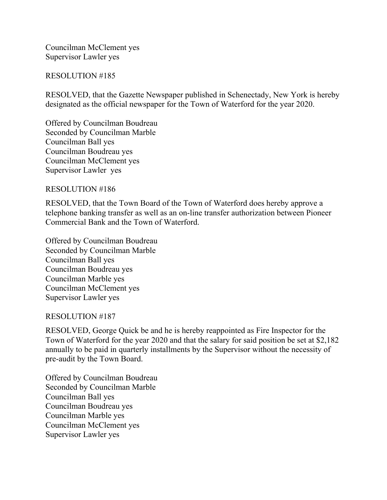Councilman McClement yes Supervisor Lawler yes

### RESOLUTION #185

RESOLVED, that the Gazette Newspaper published in Schenectady, New York is hereby designated as the official newspaper for the Town of Waterford for the year 2020.

Offered by Councilman Boudreau Seconded by Councilman Marble Councilman Ball yes Councilman Boudreau yes Councilman McClement yes Supervisor Lawler yes

### RESOLUTION #186

RESOLVED, that the Town Board of the Town of Waterford does hereby approve a telephone banking transfer as well as an on-line transfer authorization between Pioneer Commercial Bank and the Town of Waterford.

Offered by Councilman Boudreau Seconded by Councilman Marble Councilman Ball yes Councilman Boudreau yes Councilman Marble yes Councilman McClement yes Supervisor Lawler yes

#### RESOLUTION #187

RESOLVED, George Quick be and he is hereby reappointed as Fire Inspector for the Town of Waterford for the year 2020 and that the salary for said position be set at \$2,182 annually to be paid in quarterly installments by the Supervisor without the necessity of pre-audit by the Town Board.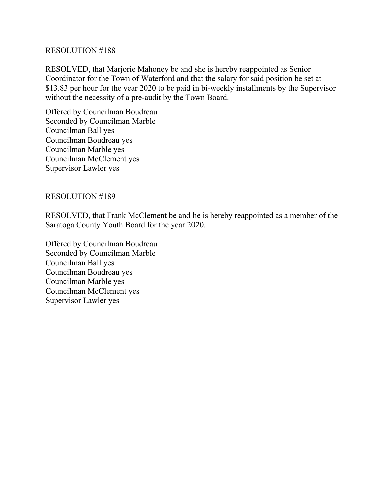RESOLVED, that Marjorie Mahoney be and she is hereby reappointed as Senior Coordinator for the Town of Waterford and that the salary for said position be set at \$13.83 per hour for the year 2020 to be paid in bi-weekly installments by the Supervisor without the necessity of a pre-audit by the Town Board.

Offered by Councilman Boudreau Seconded by Councilman Marble Councilman Ball yes Councilman Boudreau yes Councilman Marble yes Councilman McClement yes Supervisor Lawler yes

# RESOLUTION #189

RESOLVED, that Frank McClement be and he is hereby reappointed as a member of the Saratoga County Youth Board for the year 2020.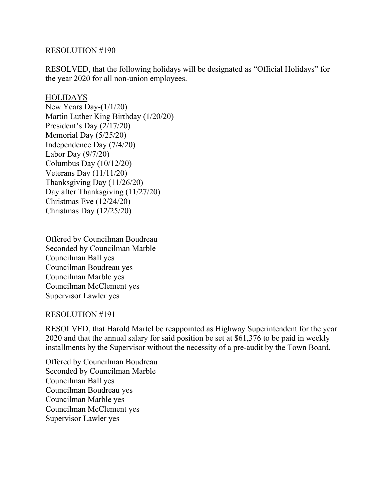RESOLVED, that the following holidays will be designated as "Official Holidays" for the year 2020 for all non-union employees.

### HOLIDAYS

New Years Day-(1/1/20) Martin Luther King Birthday (1/20/20) President's Day (2/17/20) Memorial Day (5/25/20) Independence Day (7/4/20) Labor Day (9/7/20) Columbus Day (10/12/20) Veterans Day (11/11/20) Thanksgiving Day (11/26/20) Day after Thanksgiving (11/27/20) Christmas Eve (12/24/20) Christmas Day (12/25/20)

Offered by Councilman Boudreau Seconded by Councilman Marble Councilman Ball yes Councilman Boudreau yes Councilman Marble yes Councilman McClement yes Supervisor Lawler yes

## RESOLUTION #191

RESOLVED, that Harold Martel be reappointed as Highway Superintendent for the year 2020 and that the annual salary for said position be set at \$61,376 to be paid in weekly installments by the Supervisor without the necessity of a pre-audit by the Town Board.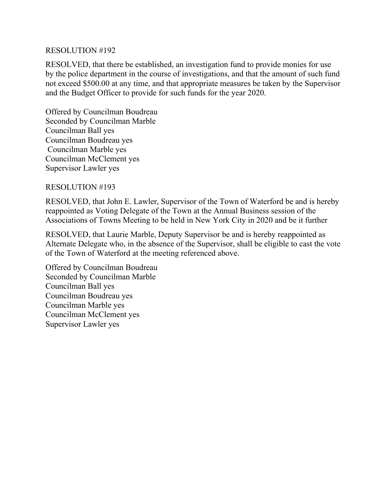RESOLVED, that there be established, an investigation fund to provide monies for use by the police department in the course of investigations, and that the amount of such fund not exceed \$500.00 at any time, and that appropriate measures be taken by the Supervisor and the Budget Officer to provide for such funds for the year 2020.

Offered by Councilman Boudreau Seconded by Councilman Marble Councilman Ball yes Councilman Boudreau yes Councilman Marble yes Councilman McClement yes Supervisor Lawler yes

RESOLUTION #193

RESOLVED, that John E. Lawler, Supervisor of the Town of Waterford be and is hereby reappointed as Voting Delegate of the Town at the Annual Business session of the Associations of Towns Meeting to be held in New York City in 2020 and be it further

RESOLVED, that Laurie Marble, Deputy Supervisor be and is hereby reappointed as Alternate Delegate who, in the absence of the Supervisor, shall be eligible to cast the vote of the Town of Waterford at the meeting referenced above.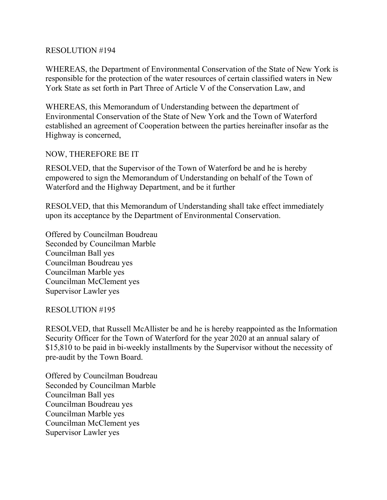WHEREAS, the Department of Environmental Conservation of the State of New York is responsible for the protection of the water resources of certain classified waters in New York State as set forth in Part Three of Article V of the Conservation Law, and

WHEREAS, this Memorandum of Understanding between the department of Environmental Conservation of the State of New York and the Town of Waterford established an agreement of Cooperation between the parties hereinafter insofar as the Highway is concerned,

# NOW, THEREFORE BE IT

RESOLVED, that the Supervisor of the Town of Waterford be and he is hereby empowered to sign the Memorandum of Understanding on behalf of the Town of Waterford and the Highway Department, and be it further

RESOLVED, that this Memorandum of Understanding shall take effect immediately upon its acceptance by the Department of Environmental Conservation.

Offered by Councilman Boudreau Seconded by Councilman Marble Councilman Ball yes Councilman Boudreau yes Councilman Marble yes Councilman McClement yes Supervisor Lawler yes

## RESOLUTION #195

RESOLVED, that Russell McAllister be and he is hereby reappointed as the Information Security Officer for the Town of Waterford for the year 2020 at an annual salary of \$15,810 to be paid in bi-weekly installments by the Supervisor without the necessity of pre-audit by the Town Board.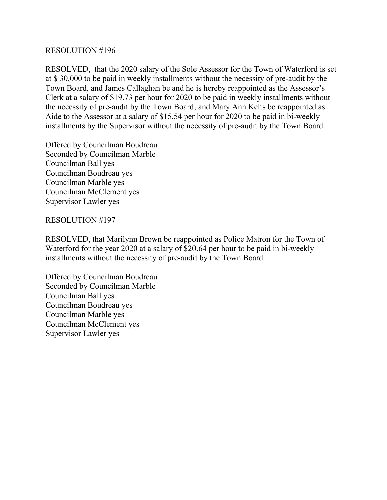RESOLVED, that the 2020 salary of the Sole Assessor for the Town of Waterford is set at \$ 30,000 to be paid in weekly installments without the necessity of pre-audit by the Town Board, and James Callaghan be and he is hereby reappointed as the Assessor's Clerk at a salary of \$19.73 per hour for 2020 to be paid in weekly installments without the necessity of pre-audit by the Town Board, and Mary Ann Kelts be reappointed as Aide to the Assessor at a salary of \$15.54 per hour for 2020 to be paid in bi-weekly installments by the Supervisor without the necessity of pre-audit by the Town Board.

Offered by Councilman Boudreau Seconded by Councilman Marble Councilman Ball yes Councilman Boudreau yes Councilman Marble yes Councilman McClement yes Supervisor Lawler yes

# RESOLUTION #197

RESOLVED, that Marilynn Brown be reappointed as Police Matron for the Town of Waterford for the year 2020 at a salary of \$20.64 per hour to be paid in bi-weekly installments without the necessity of pre-audit by the Town Board.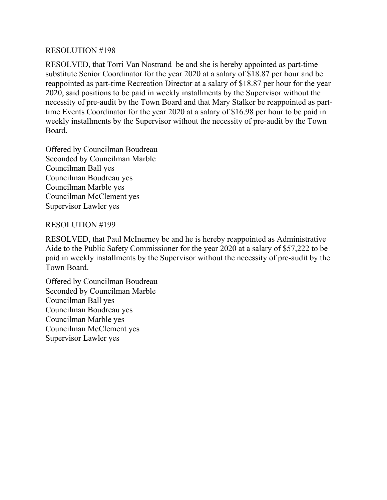RESOLVED, that Torri Van Nostrand be and she is hereby appointed as part-time substitute Senior Coordinator for the year 2020 at a salary of \$18.87 per hour and be reappointed as part-time Recreation Director at a salary of \$18.87 per hour for the year 2020, said positions to be paid in weekly installments by the Supervisor without the necessity of pre-audit by the Town Board and that Mary Stalker be reappointed as parttime Events Coordinator for the year 2020 at a salary of \$16.98 per hour to be paid in weekly installments by the Supervisor without the necessity of pre-audit by the Town Board.

Offered by Councilman Boudreau Seconded by Councilman Marble Councilman Ball yes Councilman Boudreau yes Councilman Marble yes Councilman McClement yes Supervisor Lawler yes

# RESOLUTION #199

RESOLVED, that Paul McInerney be and he is hereby reappointed as Administrative Aide to the Public Safety Commissioner for the year 2020 at a salary of \$57,222 to be paid in weekly installments by the Supervisor without the necessity of pre-audit by the Town Board.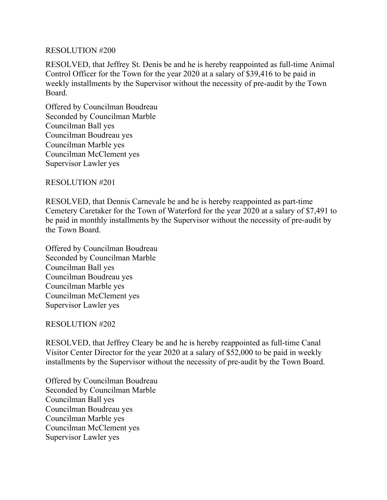RESOLVED, that Jeffrey St. Denis be and he is hereby reappointed as full-time Animal Control Officer for the Town for the year 2020 at a salary of \$39,416 to be paid in weekly installments by the Supervisor without the necessity of pre-audit by the Town Board.

Offered by Councilman Boudreau Seconded by Councilman Marble Councilman Ball yes Councilman Boudreau yes Councilman Marble yes Councilman McClement yes Supervisor Lawler yes

RESOLUTION #201

RESOLVED, that Dennis Carnevale be and he is hereby reappointed as part-time Cemetery Caretaker for the Town of Waterford for the year 2020 at a salary of \$7,491 to be paid in monthly installments by the Supervisor without the necessity of pre-audit by the Town Board.

Offered by Councilman Boudreau Seconded by Councilman Marble Councilman Ball yes Councilman Boudreau yes Councilman Marble yes Councilman McClement yes Supervisor Lawler yes

## RESOLUTION #202

RESOLVED, that Jeffrey Cleary be and he is hereby reappointed as full-time Canal Visitor Center Director for the year 2020 at a salary of \$52,000 to be paid in weekly installments by the Supervisor without the necessity of pre-audit by the Town Board.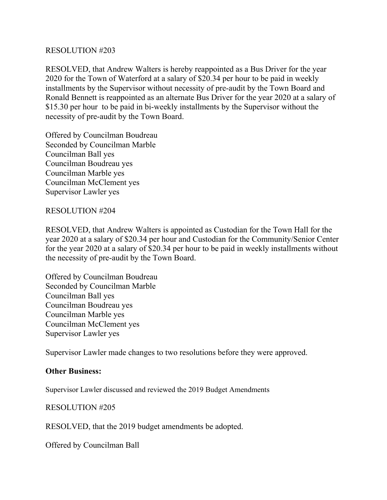RESOLVED, that Andrew Walters is hereby reappointed as a Bus Driver for the year 2020 for the Town of Waterford at a salary of \$20.34 per hour to be paid in weekly installments by the Supervisor without necessity of pre-audit by the Town Board and Ronald Bennett is reappointed as an alternate Bus Driver for the year 2020 at a salary of \$15.30 per hour to be paid in bi-weekly installments by the Supervisor without the necessity of pre-audit by the Town Board.

Offered by Councilman Boudreau Seconded by Councilman Marble Councilman Ball yes Councilman Boudreau yes Councilman Marble yes Councilman McClement yes Supervisor Lawler yes

## RESOLUTION #204

RESOLVED, that Andrew Walters is appointed as Custodian for the Town Hall for the year 2020 at a salary of \$20.34 per hour and Custodian for the Community/Senior Center for the year 2020 at a salary of \$20.34 per hour to be paid in weekly installments without the necessity of pre-audit by the Town Board.

Offered by Councilman Boudreau Seconded by Councilman Marble Councilman Ball yes Councilman Boudreau yes Councilman Marble yes Councilman McClement yes Supervisor Lawler yes

Supervisor Lawler made changes to two resolutions before they were approved.

## **Other Business:**

Supervisor Lawler discussed and reviewed the 2019 Budget Amendments

## RESOLUTION #205

RESOLVED, that the 2019 budget amendments be adopted.

Offered by Councilman Ball